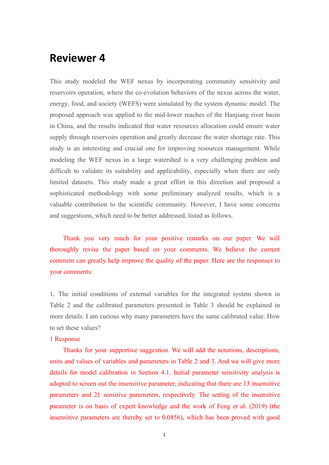# **Reviewer 4**

This study modeled the WEF nexus by incorporating community sensitivity and reservoirs operation, where the co-evolution behaviors of the nexus across the water, energy, food, and society (WEFS) were simulated by the system dynamic model. The proposed approach was applied to the mid-lower reaches of the Hanjiang river basin in China, and the results indicated that water resources allocation could ensure water supply through reservoirs operation and greatly decrease the water shortage rate. This study is an interesting and crucial one for improving resources management. While modeling the WEF nexus in a large watershed is a very challenging problem and difficult to validate its suitability and applicability, especially when there are only limited datasets. This study made a great effort in this direction and proposed a sophisticated methodology with some preliminary analyzed results, which is a valuable contribution to the scientific community. However, I have some concerns and suggestions, which need to be better addressed, listed as follows.

Thank you very much for your positive remarks on our paper. We will thoroughly revise the paper based on your comments. We believe the current comment can greatly help improve the quality of the paper. Here are the responses to your comments:

1. The initial conditions of external variables for the integrated system shown in Table 2 and the calibrated parameters presented in Table 3 should be explained in more details. I am curious why many parameters have the same calibrated value. How to set these values?

# 1 Response

Thanks for your supportive suggestion. We will add the notations, descriptions, units and values of variables and parameters in Table 2 and 3. And we will give more details for model calibration in Section 4.1. Initial parameter sensitivity analysis is adopted to screen out the insensitive parameter, indicating that there are 13 insensitive parameters and 21 sensitive parameters, respectively. The setting of the insensitive parameter is on basis of expert knowledge and the work of Feng et al. (2019) (the insensitive parameters are thereby set to 0.0856), which has been proved with good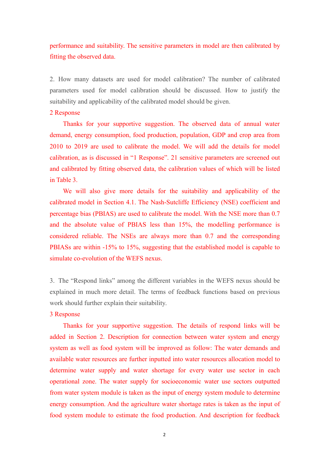performance and suitability. The sensitive parameters in model are then calibrated by fitting the observed data.

2. How many datasets are used for model calibration? The number of calibrated parameters used for model calibration should be discussed. How to justify the suitability and applicability of the calibrated model should be given.

#### 2 Response

Thanks for your supportive suggestion. The observed data of annual water demand, energy consumption, food production, population, GDP and crop area from 2010 to 2019 are used to calibrate the model. We will add the details for model calibration, as is discussed in "1 Response". 21 sensitive parameters are screened out and calibrated by fitting observed data, the calibration values of which will be listed in Table 3.

We will also give more details for the suitability and applicability of the calibrated model in Section 4.1. The Nash-Sutcliffe Efficiency (NSE) coefficient and percentage bias (PBIAS) are used to calibrate the model. With the NSE more than 0.7 and the absolute value of PBIAS less than 15%, the modelling performance is considered reliable. The NSEs are always more than 0.7 and the corresponding PBIASs are within -15% to 15%, suggesting that the established model is capable to simulate co-evolution of the WEFS nexus.

3. The "Respond links" among the different variables in the WEFS nexus should be explained in much more detail. The terms of feedback functions based on previous work should further explain their suitability.

### 3 Response

Thanks for your supportive suggestion. The details of respond links will be added in Section 2. Description for connection between water system and energy system as well as food system will be improved as follow: The water demands and available water resources are further inputted into water resources allocation model to determine water supply and water shortage for every water use sector in each operational zone. The water supply for socioeconomic water use sectors outputted from water system module is taken as the input of energy system module to determine energy consumption. And the agriculture water shortage rates is taken as the input of food system module to estimate the food production. And description for feedback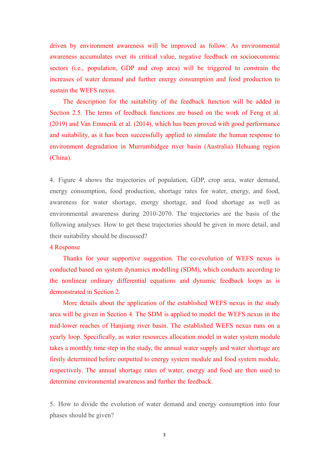driven by environment awareness will be improved as follow: As environmental awareness accumulates over its critical value, negative feedback on socioeconomic sectors (i.e., population, GDP and crop area) will be triggered to constrain the increases of water demand and further energy consumption and food production to sustain the WEFS nexus.

The description for the suitability of the feedback function will be added in Section 2.5. The terms of feedback functions are based on the work of Feng et al. (2019) and Van Emmerik et al. (2014), which has been proved with good performance and suitability, as it has been successfully applied to simulate the human response to environment degradation in Murrumbidgee river basin (Australia) Hehuang region (China).

4. Figure 4 shows the trajectories of population, GDP, crop area, water demand, energy consumption, food production, shortage rates for water, energy, and food, awareness for water shortage, energy shortage, and food shortage as well as environmental awareness during 2010-2070. The trajectories are the basis of the following analyses. How to get these trajectories should be given in more detail, and their suitability should be discussed?

# 4 Response

Thanks for your supportive suggestion. The co-evolution of WEFS nexus is conducted based on system dynamics modelling (SDM), which conducts according to the nonlinear ordinary differential equations and dynamic feedback loops as is demonstrated in Section 2.

More details about the application of the established WEFS nexus in the study area will be given in Section 4. The SDM is applied to model the WEFS nexus in the mid-lower reaches of Hanjiang river basin. The established WEFS nexus runs on a yearly loop. Specifically, as water resources allocation model in water system module takes a monthly time step in the study, the annual water supply and water shortage are firstly determined before outputted to energy system module and food system module, respectively. The annual shortage rates of water, energy and food are then used to determine environmental awareness and further the feedback.

5. How to divide the evolution of water demand and energy consumption into four phases should be given?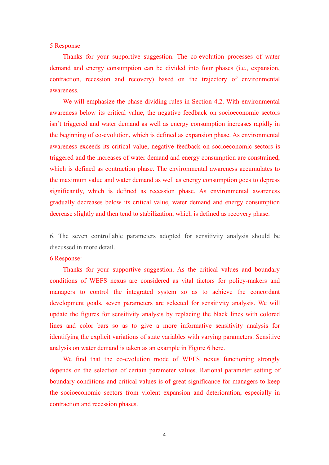#### 5 Response

Thanks for your supportive suggestion. The co-evolution processes of water demand and energy consumption can be divided into four phases (i.e., expansion, contraction, recession and recovery) based on the trajectory of environmental awareness.

We will emphasize the phase dividing rules in Section 4.2. With environmental awareness below its critical value, the negative feedback on socioeconomic sectors isn't triggered and water demand as well as energy consumption increases rapidly in the beginning of co-evolution, which is defined as expansion phase. As environmental awareness exceeds its critical value, negative feedback on socioeconomic sectors is triggered and the increases of water demand and energy consumption are constrained, which is defined as contraction phase. The environmental awareness accumulates to the maximum value and water demand as well as energy consumption goes to depress significantly, which is defined as recession phase. As environmental awareness gradually decreases below its critical value, water demand and energy consumption decrease slightly and then tend to stabilization, which is defined as recovery phase.

6. The seven controllable parameters adopted for sensitivity analysis should be discussed in more detail.

### 6 Response:

Thanks for your supportive suggestion. As the critical values and boundary conditions of WEFS nexus are considered as vital factors for policy-makers and managers to control the integrated system so as to achieve the concordant development goals, seven parameters are selected for sensitivity analysis. We will update the figures for sensitivity analysis by replacing the black lines with colored lines and color bars so as to give a more informative sensitivity analysis for identifying the explicit variations of state variables with varying parameters. Sensitive analysis on water demand is taken as an example in Figure 6 here.

We find that the co-evolution mode of WEFS nexus functioning strongly depends on the selection of certain parameter values. Rational parameter setting of boundary conditions and critical values is of great significance for managers to keep the socioeconomic sectors from violent expansion and deterioration, especially in contraction and recession phases.

4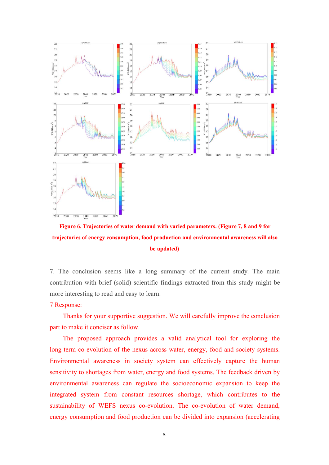

**Figure 6. Trajectories ofwater demand with varied parameters. (Figure 7, 8 and 9 for trajectories ofenergy consumption, food production and environmental awareness will also be updated)**

7. The conclusion seems like a long summary of the current study. The main contribution with brief (solid) scientific findings extracted from this study might be more interesting to read and easy to learn.

## 7 Response:

Thanks for your supportive suggestion. We will carefully improve the conclusion part to make it conciser as follow.

The proposed approach provides a valid analytical tool for exploring the long-term co-evolution of the nexus across water, energy, food and society systems. Environmental awareness in society system can effectively capture the human sensitivity to shortages from water, energy and food systems. The feedback driven by environmental awareness can regulate the socioeconomic expansion to keep the integrated system from constant resources shortage, which contributes to the sustainability of WEFS nexus co-evolution. The co-evolution of water demand, energy consumption and food production can be divided into expansion (accelerating